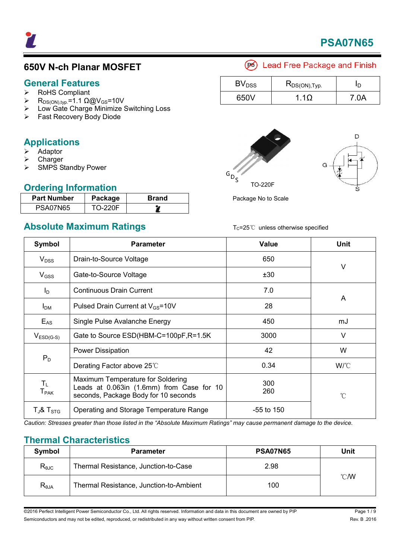

### **650V N-ch Planar MOSFET**

# General Features

- RoHS Compliant
- $\triangleright$  R<sub>DS(ON),typ</sub>. = 1.1 Ω@V<sub>GS</sub>=10V
- Low Gate Charge Minimize Switching Loss
- Fast Recovery Body Diode

### **Applications**

- Adaptor
- Charger
- $\triangleright$  SMPS Standby Power

### **Ordering Information**

| <b>Part Number</b> | Package        | <b>Brand</b> |
|--------------------|----------------|--------------|
| <b>PSA07N65</b>    | <b>TO-220F</b> |              |

### **Absolute Maximum Ratings**

| woonato maximumi ratingo                                                                                                                                     |                                       | $10-20$ $\circ$ anicss otherwise specified |                 |  |
|--------------------------------------------------------------------------------------------------------------------------------------------------------------|---------------------------------------|--------------------------------------------|-----------------|--|
| Symbol                                                                                                                                                       | <b>Parameter</b>                      | <b>Value</b>                               | <b>Unit</b>     |  |
| $V_{DSS}$<br>Drain-to-Source Voltage<br>Gate-to-Source Voltage<br>$V_{GSS}$                                                                                  |                                       | 650                                        | $\vee$          |  |
|                                                                                                                                                              |                                       | ±30                                        |                 |  |
| $I_D$                                                                                                                                                        | <b>Continuous Drain Current</b>       | 7.0                                        |                 |  |
| Pulsed Drain Current at V <sub>GS</sub> =10V<br>I <sub>DM</sub>                                                                                              |                                       | 28                                         | A               |  |
| $E_{AS}$                                                                                                                                                     | Single Pulse Avalanche Energy         | 450                                        | mJ              |  |
| $V_{ESD(G-S)}$                                                                                                                                               | Gate to Source ESD(HBM-C=100pF,R=1.5K | 3000                                       | $\vee$          |  |
|                                                                                                                                                              | <b>Power Dissipation</b>              | 42                                         | W               |  |
| $P_D$                                                                                                                                                        | Derating Factor above 25°C            | 0.34                                       | W/°C            |  |
| Maximum Temperature for Soldering<br>$T_{L}$<br>Leads at 0.063in (1.6mm) from Case for 10<br><b>T</b> <sub>PAK</sub><br>seconds, Package Body for 10 seconds |                                       | 300<br>260                                 | $\rm ^{\circ}C$ |  |
| $T_{J}$ & $T_{STG}$<br>Operating and Storage Temperature Range                                                                                               |                                       | $-55$ to 150                               |                 |  |

*Caution: Stresses greater than those listed in the "Absolute Maximum Ratings" may cause permanent damage to the device.* 

### **Thermal Characteristics**

| Symbol         | <b>Parameter</b>                        | <b>PSA07N65</b> | Unit           |
|----------------|-----------------------------------------|-----------------|----------------|
| $R_{\theta$ JC | Thermal Resistance, Junction-to-Case    | 2.98            |                |
| $R_{\theta$ JA | Thermal Resistance, Junction-to-Ambient | 100             | $^{\circ}$ CMV |

©2016 Perfect Intelligent Power Semiconductor Co., Ltd. All rights reserved. Information and data in this document are owned by PIP Page 1/9 Semiconductors and may not be edited, reproduced, or redistributed in any way without written consent from PIP. The manner of the state of the S.2016

### (B) Lead Free Package and Finish

| BV <sub>DSS</sub> | $R_{DS(ON),Typ.}$ | חו    |
|-------------------|-------------------|-------|
| 650V              | 1 1 O             | 7 N A |





Package No to Scale

| Page 1/    |  |
|------------|--|
| Rev. B .20 |  |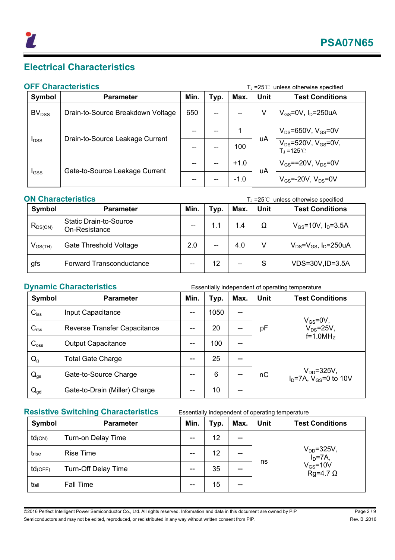

## **Electrical Characteristics**

### **OFF Characteristics OFF Characteristics T**<sub>⊥</sub>=25℃ unless otherwise specified

| 91 I GHUIUCHONG S                            |                                   |      |      |        |                                                                  | $1.1 - 23$ $\circ$ anness otherwise specified |
|----------------------------------------------|-----------------------------------|------|------|--------|------------------------------------------------------------------|-----------------------------------------------|
| Symbol                                       | <b>Parameter</b>                  | Min. | Typ. | Max.   | <b>Unit</b>                                                      | <b>Test Conditions</b>                        |
| BV <sub>DSS</sub>                            | Drain-to-Source Breakdown Voltage | 650  | --   | --     | ٧                                                                | $V_{GS}$ =0V, $I_D$ =250uA                    |
| Drain-to-Source Leakage Current<br>$I_{DSS}$ |                                   |      |      |        |                                                                  | $V_{DS}$ =650V, $V_{GS}$ =0V                  |
|                                              |                                   |      | 100  | uA     | $V_{DS} = 520V$ , $V_{GS} = 0V$ ,<br>$T_{\rm d} = 125^{\circ}$ C |                                               |
| $_{\text{GSS}}$                              | Gate-to-Source Leakage Current    |      |      | $+1.0$ | uA                                                               | $V_{GS}$ ==20V, $V_{DS}$ =0V                  |
|                                              |                                   |      |      | $-1.0$ |                                                                  | $V_{GS}$ =-20V, $V_{DS}$ =0V                  |

| <b>ON Characteristics</b> |                                                |      |      | $T_J = 25^{\circ}$ unless otherwise specified |             |                                           |
|---------------------------|------------------------------------------------|------|------|-----------------------------------------------|-------------|-------------------------------------------|
| Symbol                    | <b>Parameter</b>                               | Min. | Typ. | Max.                                          | <b>Unit</b> | <b>Test Conditions</b>                    |
| $R_{DS(ON)}$              | <b>Static Drain-to-Source</b><br>On-Resistance |      | 1.1  | 1.4                                           | Ω           | $V_{GS}$ =10V, $I_{D}$ =3.5A              |
| $V_{GS(TH)}$              | Gate Threshold Voltage                         | 2.0  | --   | 4.0                                           | V           | $V_{DS} = V_{GS}$ , I <sub>D</sub> =250uA |
| gfs                       | Forward Transconductance                       |      | 12   | --                                            | S           | VDS=30V, ID=3.5A                          |

**Dynamic Characteristics** Essentially independent of operating temperature

| Symbol           | <b>Parameter</b>              | Min.  | Typ. | Max.              | <b>Unit</b> | <b>Test Conditions</b>                                |
|------------------|-------------------------------|-------|------|-------------------|-------------|-------------------------------------------------------|
| $C_{iss}$        | Input Capacitance             | $- -$ | 1050 | $\qquad \qquad -$ | pF          | $V_{GS} = 0V$ ,<br>$V_{DS} = 25V$ ,<br>$f=1.0MHz$     |
| C <sub>rss</sub> | Reverse Transfer Capacitance  |       | 20   | --                |             |                                                       |
| $C_{\text{oss}}$ | <b>Output Capacitance</b>     | --    | 100  | --                |             |                                                       |
| $Q_g$            | <b>Total Gate Charge</b>      | --    | 25   | --                | nС          | $V_{DD} = 325V$ ,<br>$I_D = 7A$ , $V_{GS} = 0$ to 10V |
| $Q_{gs}$         | Gate-to-Source Charge         | --    | 6    | --                |             |                                                       |
| $Q_{\text{gd}}$  | Gate-to-Drain (Miller) Charge |       | 10   | --                |             |                                                       |

### **Resistive Switching Characteristics** Essentially independent of operating temperature

| Symbol    | <b>Parameter</b>    | Min. | Typ. | Max. | <b>Unit</b> | <b>Test Conditions</b>                                             |
|-----------|---------------------|------|------|------|-------------|--------------------------------------------------------------------|
| $td$ (ON) | Turn-on Delay Time  | --   | 12   | $-$  |             |                                                                    |
| trise     | <b>Rise Time</b>    | --   | 12   | --   | ns          | $V_{DD} = 325V$ ,<br>$ID=7A,$<br>$V_{GS} = 10V$<br>$Rg=4.7 \Omega$ |
| td(OFF)   | Turn-Off Delay Time | --   | 35   | --   |             |                                                                    |
| tfall     | Fall Time           | --   | 15   | --   |             |                                                                    |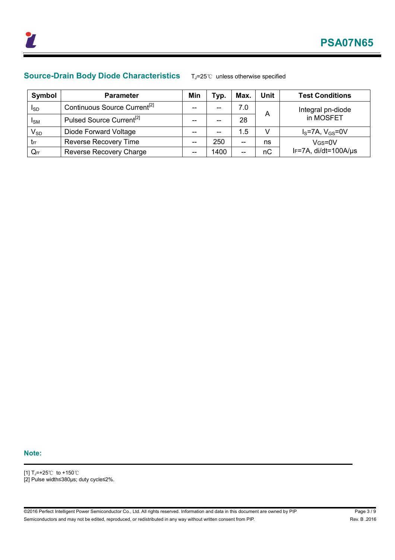

### **Source-Drain Body Diode Characteristics** TJ=25℃ unless otherwise specified

| Symbol                     | <b>Parameter</b>                         | Min | тур. | <b>Max</b> | Unit | <b>Test Conditions</b> |
|----------------------------|------------------------------------------|-----|------|------------|------|------------------------|
| I <sub>SD</sub>            | Continuous Source Current <sup>[2]</sup> | --  | --   | 7.0        |      | Integral pn-diode      |
| <b>I</b> SM                | Pulsed Source Current <sup>[2]</sup>     | --  | --   | 28         | Α    | in MOSFET              |
| $\mathsf{V}_{\textsf{SD}}$ | Diode Forward Voltage                    | --  | $-$  | 1.5        | V    | $IS=7A, VGS=0V$        |
| trr                        | <b>Reverse Recovery Time</b>             | --  | 250  | $-$        | ns   | $V$ GS=0 $V$           |
| Qrr                        | Reverse Recovery Charge                  | --  | 1400 | --         | nC   | IF=7A, di/dt=100A/µs   |

#### **Note:**

- [1] TJ=+25℃ to +150℃
- [2] Pulse width≤380µs; duty cycle≤2%.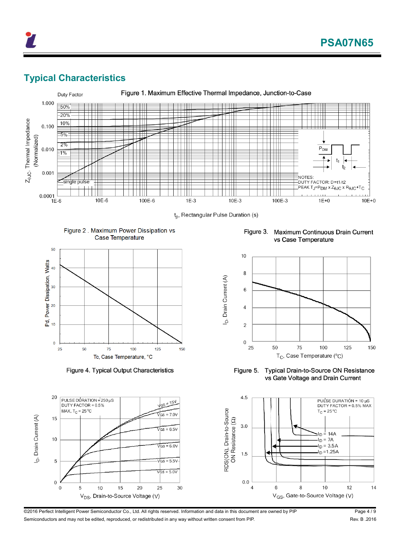

### **Typical Characteristics**



Figure 2. Maximum Power Dissipation vs





Figure 4. Typical Output Characteristics

Figure 3. Maximum Continuous Drain Current vs Case Temperature



Figure 5. **Typical Drain-to-Source ON Resistance** vs Gate Voltage and Drain Current



@2016 Perfect Intelligent Power Semiconductor Co., Ltd. All rights reserved. Information and data in this document are owned by PIP Page 4 / 9 Semiconductors and may not be edited, reproduced, or redistributed in any way without written consent from PIP. The manner of the state of the Rev. B .2016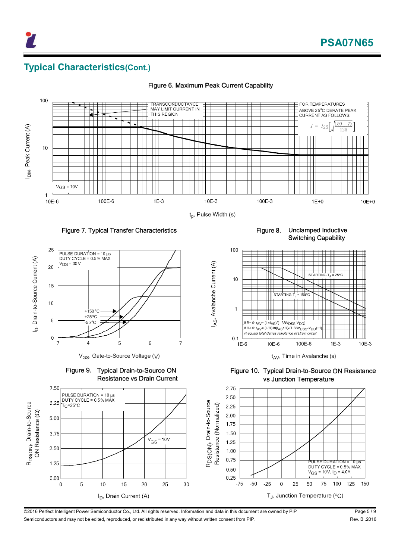### **Typical Characteristics(Cont.)**



I<sub>AS</sub>, Avalanche Current (A)

Figure 6. Maximum Peak Current Capability

#### Figure 7. Typical Transfer Characteristics



V<sub>GS</sub>, Gate-to-Source Voltage (V)

Figure 9. Typical Drain-to-Source ON Resistance vs Drain Current

Unclamped Inductive Figure 8. Switching Capability



Figure 10. Typical Drain-to-Source ON Resistance vs Junction Temperature



©2016 Perfect Intelligent Power Semiconductor Co., Ltd. All rights reserved. Information and data in this document are owned by PIP Page 5 / 9 Semiconductors and may not be edited, reproduced, or redistributed in any way without written consent from PIP. The manner of the state of the state of the state of the state of the state of the state of the state of the s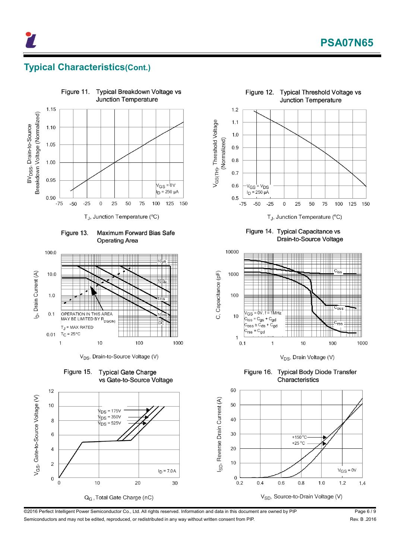

### **Typical Characteristics(Cont.)**



**Maximum Forward Bias Safe** Figure 13. **Operating Area** 



V<sub>DS</sub>, Drain-to-Source Voltage (V)







Figure 14. Typical Capacitance vs Drain-to-Source Voltage



V<sub>DS</sub>, Drain Voltage (V)

Figure 16. **Typical Body Diode Transfer** Characteristics



©2016 Perfect Intelligent Power Semiconductor Co., Ltd. All rights reserved. Information and data in this document are owned by PIP Page 6 / 9 Semiconductors and may not be edited, reproduced, or redistributed in any way without written consent from PIP. The manner of the state of the Rev. B .2016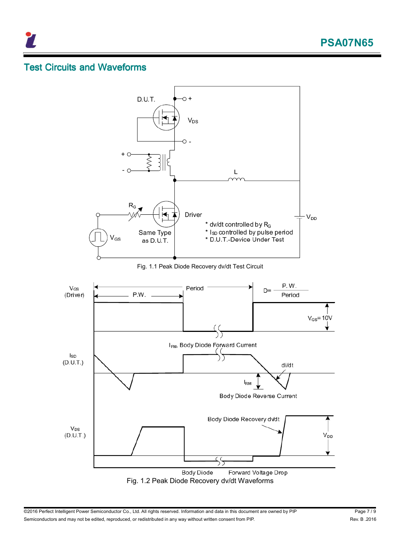

### **Test Circuits and Waveforms**

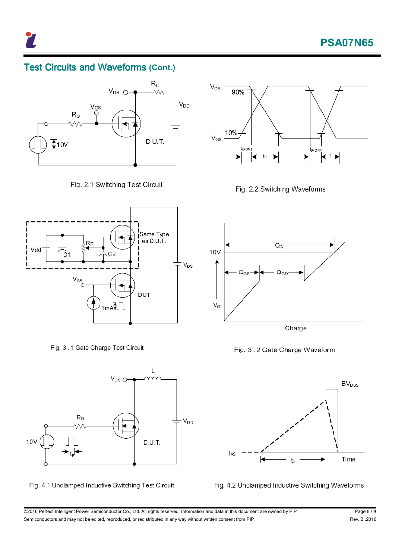### **Test Circuits and Waveforms (Cont.)**



Fig. 2.1 Switching Test Circuit



Fig. 3.1 Gate Charge Test Circuit



Fig. 4.1 Unclamped Inductive Switching Test Circuit



Fig. 2.2 Switching Waveforms



Fig. 3.2 Gate Charge Waveform





@2016 Perfect Intelligent Power Semiconductor Co., Ltd. All rights reserved. Information and data in this document are owned by PIP Page 8 / 9 Semiconductors and may not be edited, reproduced, or redistributed in any way without written consent from PIP. The manner of the state of the Rev. B .2016